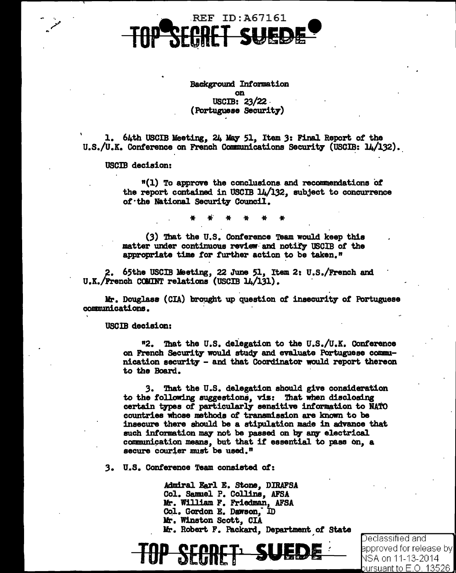

Background Information **on** USCIB:  $23/22$ (Portuguese Security)

1. 64th USCIB Meeting, 24 May 51, Item 3: Final Report of the U.S./U.K. Conference on French Communications Security (USCIB: 14/132).

## USCIB decision:

"(1) To approve the conclusions and recommendations of the report contained in USCIB 14/132, subject to concurrence of the National Security Council.

(3) That the U.S. Conference Team would keep this matter under continuous review and notify USCIB of the appropriate time for further action to be taken."

2. 65the USCIB Meeting, 22 June 51, Item 2: U.S./French and U.K./French COMINT relations (USCIB 14/131).

Mr. Douglass (CIA) brought up question of insecurity of Portuguese communications.

# USCIB decision:

"2. That the U.S. delegation to the U.S./U.K. Conference on French Security would study and evaluate Portuguese communication security - and that Coordinator would report thereon to the Board.

That the U.S. delegation should give consideration 3. to the following suggestions, viz: That when disclosing certain types of particularly sensitive information to NATO countries whose methods of transmission are known to be insecure there should be a stipulation made in advance that such information may not be passed on by any electrical communication means, but that if essential to pass on, a secure courier must be used."

3. U.S. Conference Team consisted of:

Admiral Earl E. Stone, DIRAFSA Col. Samuel P. Collins, AFSA Mr. William F. Friedman, AFSA Col. Gordon E. Dawson, ID Mr. Winston Scott, CIA Mr. Robert F. Packard, Department of State

> Declassified and |approved for release by NSA on 11-13-2014 pursuant to  $\mathsf{E}.\mathsf{O}$  13526.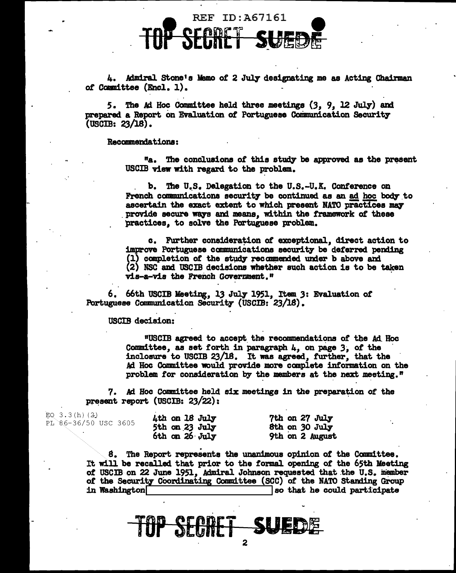

4. Admiral Stone's Memo of 2 July designating me as Acting Chairman of Committee (Encl. 1).

5. The Ad Hoc Committee held three meetings (3, 9, 12 July) and prepared a Report on Evaluation of Portuguese Communication Security (USCIB: 23/18).

### Recamnerdationa:

"a. The conclusions of this study be approved as the present USCIB view with regard to the problem.

b. The U.S. Delegation to the U.S.-U.K. Conference on French communications security be continued as an ad hoc body to ascertain the exact extent to which present NATO practices may provide secure ways and means, within the framework of these practices, to solve the Portuguese problem.

c. Further consideration of exceptional, direct action to improve Portuguese communications security be deferred pending (1) completion of the study recommended under b above and (2) NSC and USCIB decisions whether such action is to be taken vis-a-vis the French Government."

6. 66th USCIB lleeting, 13 July 1951, It• *3:* Evaluation *ot*  Portuguese Communication Security (USCIB: 23/18).

### USCIB decision:

"USCIB agreed to accept the recommendations of the Ad. Hoc Committee, as set forth in paragraph 4, on page 3, of the inclosure to USCIB 23/18. It was agreed, further, that the Ad Hoc Committee would provide more complete information on the problem for consideration by the members at the next meeting. $"$ 

7. *Ad* Hoc Comittee held six meetings in the preparation of the present report (USCIB:  $23/22$ ):

| EQ $3.3(h)(2)$       | 4th on 18 July     | 7th on 27 July  |
|----------------------|--------------------|-----------------|
| PL 86-36/50 USC 3605 | 5th on 23 July     | 8th on 30 July  |
|                      | $6th$ on $26$ July | 9th on 2 August |

8. The Report represents the unanimous opinion of the Committee. It wiU be recalled that prior to the formal opening *ot* the 65th Meeting *ot* USCIB on 22 June 1951, Admiral Johnson requested that .the U.S. inember of the Security Coordinating Committee (SCC) of the NATO Standing Group in Washington and South at the could participate  $\sim$  iso that he could participate

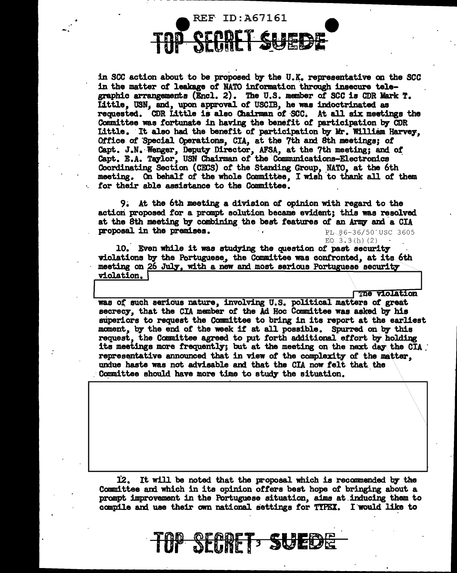

in SCC action about to be proposed by the U.K. representative on the SCC in the matter of leakage of NATO information through insecure telegraphic arrangements (Encl. 2). The U.S. member of SCC is CDR Mark T. Little, USN, and, upon approval of USCIB, he was indoctrinated as requested. CDR Little is also Chairman of SCC. At all six meetings the Committee was fortunate in having the benefit of participation by CDR Little. It also had the benefit of participation by Mr. William Harvey. Office of Special Operations, CIA, at the 7th and 8th meetings; of Capt. J.N. Wenger, Deputy Director, AFSA, at the 7th meeting; and of Capt. E.A. Taylor, USN Chairman of the Communications-Electronics Coordinating Section (CECS) of the Standing Group, NATO, at the 6th meeting. On behalf of the whole Committee. I wish to thank all of them for their able assistance to the Committee.

9. At the 6th meeting a division of opinion with regard to the action proposed for a prompt solution became evident; this was resolved at the 8th meeting by combining the best features of an Army and a CIA proposal in the premises. PL 86-36/50 USC 3605

EQ  $3.3(h)$  (2)

10. Even while it was studying the question of past security violations by the Portuguese, the Committee was confronted, at its 6th meeting on 26 July, with a new and most serious Portuguese security violation.

**The violation** 

was of such serious nature, involving U.S. political matters of great secrecy, that the CIA member of the Ad Hoc Committee was asked by his superiors to request the Committee to bring in its report at the earliest moment, by the end of the week if at all possible. Spurred on by this request, the Committee agreed to put forth additional effort by holding its meetings more frequently; but at the meeting on the next day the CIA. representative announced that in view of the complexity of the matter. undue haste was not advisable and that the CIA now felt that the Committee should have more time to study the situation.

12. It will be noted that the proposal which is recommended by the Committee and which in its opinion offers best hope of bringing about a prompt improvement in the Portuguese situation, aims at inducing them to compile and use their own national settings for TYPEX. I would like to

**TUP SECRET: SUEDE**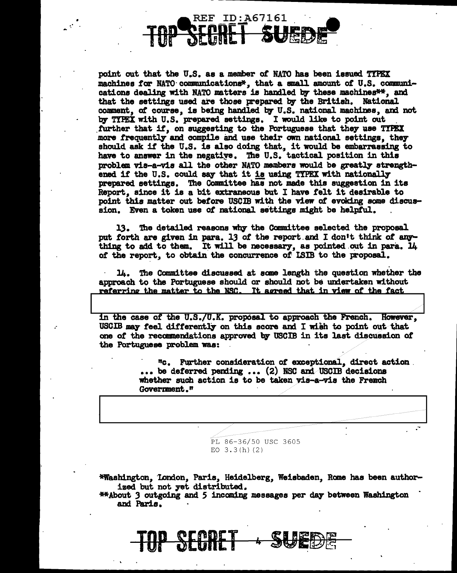# **REF ID:A67161**

 $\sim 10^{-1}$ 

point out that the U.S. as a member of NATO has been issued TYPEX machines for NATO communications\*, that a small amount of U.S. communications dealing with NATO matters is handled by these machines\*\*, and that the settings used are those prepared by the British. National comment, of course, is being handled by U.S. national machines, and not by TIPEX with U.S. prepared settings. I would like to point out further that if, on suggesting to the Portuguese that they use TYPEX more frequently and compile and use their own national settings, they should ask if the U.S. is also doing that, it would be embarrassing to have to answer in the negative. The U.S. tactical position in this problem vis-a-vis all the other NATO members would be greatly strengthened if the U.S. could say that it is using TYPEX with nationally prepared settings. The Committee has not made this suggestion in its Report, since it is a bit extraneous but I have felt it desirable to point this matter out before USCIB with the view of evoking some discussion. Even a token use of national settings might be helpful.

13. The detailed reasons why the Committee selected the proposal put forth are given in para. 13 of the report and I don't think of anything to add to them. It will be necessary, as pointed out in para. 14 of the report, to obtain the concurrence of ISIB to the proposal.

14. The Committee discussed at some length the question whether the approach to the Portuguese should or should not be undertaken without referring the matter to the NSC. It agreed that in view of the fact

in the case of the U.S./U.K. proposal to approach the French. However, USCIB may feel differently on this score and I wish to point out that one of the recommendations approved by USCIB in its last discussion of the Portuguese problem was:

> "c. Further consideration of exceptional, direct action. ... be deferred pending ... (2) NSC and USCIB decisions whether such action is to be taken vis-a-vis the French Government."

> > PL 86-36/50 USC 3605 EO  $3.3(h)(2)$

\*Washington, London, Paris, Heidelberg, Weisbaden, Rome has been authorized but not yet distributed.

**\*\*About 3 outgoing and 5 incoming messages per day between Washington** and Paris.